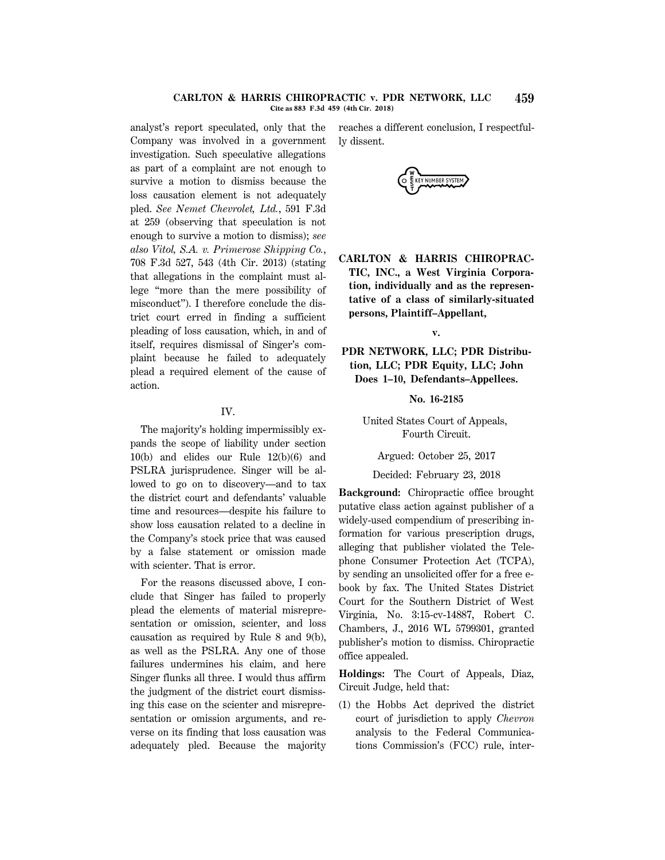### **CARLTON & HARRIS CHIROPRACTIC v. PDR NETWORK, LLC 459 Cite as 883 F.3d 459 (4th Cir. 2018)**

analyst's report speculated, only that the Company was involved in a government investigation. Such speculative allegations as part of a complaint are not enough to survive a motion to dismiss because the loss causation element is not adequately pled. *See Nemet Chevrolet, Ltd.*, 591 F.3d at 259 (observing that speculation is not enough to survive a motion to dismiss); *see also Vitol, S.A. v. Primerose Shipping Co.*, 708 F.3d 527, 543 (4th Cir. 2013) (stating that allegations in the complaint must allege ''more than the mere possibility of misconduct''). I therefore conclude the district court erred in finding a sufficient pleading of loss causation, which, in and of itself, requires dismissal of Singer's complaint because he failed to adequately plead a required element of the cause of action.

# IV.

The majority's holding impermissibly expands the scope of liability under section 10(b) and elides our Rule 12(b)(6) and PSLRA jurisprudence. Singer will be allowed to go on to discovery—and to tax the district court and defendants' valuable time and resources—despite his failure to show loss causation related to a decline in the Company's stock price that was caused by a false statement or omission made with scienter. That is error.

For the reasons discussed above, I conclude that Singer has failed to properly plead the elements of material misrepresentation or omission, scienter, and loss causation as required by Rule 8 and 9(b), as well as the PSLRA. Any one of those failures undermines his claim, and here Singer flunks all three. I would thus affirm the judgment of the district court dismissing this case on the scienter and misrepresentation or omission arguments, and reverse on its finding that loss causation was adequately pled. Because the majority reaches a different conclusion, I respectfully dissent.



**CARLTON & HARRIS CHIROPRAC-TIC, INC., a West Virginia Corporation, individually and as the representative of a class of similarly-situated persons, Plaintiff–Appellant,**

**v.**

**PDR NETWORK, LLC; PDR Distribution, LLC; PDR Equity, LLC; John Does 1–10, Defendants–Appellees.**

**No. 16-2185**

United States Court of Appeals, Fourth Circuit.

Argued: October 25, 2017

Decided: February 23, 2018

**Background:** Chiropractic office brought putative class action against publisher of a widely-used compendium of prescribing information for various prescription drugs, alleging that publisher violated the Telephone Consumer Protection Act (TCPA), by sending an unsolicited offer for a free ebook by fax. The United States District Court for the Southern District of West Virginia, No. 3:15-cv-14887, Robert C. Chambers, J., 2016 WL 5799301, granted publisher's motion to dismiss. Chiropractic office appealed.

**Holdings:** The Court of Appeals, Diaz, Circuit Judge, held that:

(1) the Hobbs Act deprived the district court of jurisdiction to apply *Chevron* analysis to the Federal Communications Commission's (FCC) rule, inter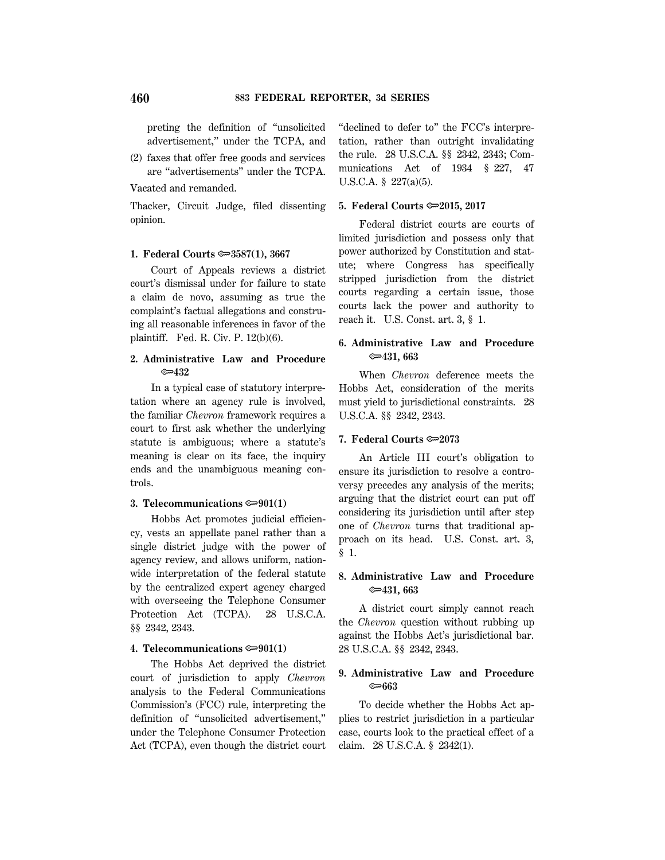preting the definition of ''unsolicited advertisement,'' under the TCPA, and

(2) faxes that offer free goods and services are ''advertisements'' under the TCPA.

Vacated and remanded.

Thacker, Circuit Judge, filed dissenting opinion.

#### **1. Federal Courts**  $\approx 3587(1)$ **, 3667**

Court of Appeals reviews a district court's dismissal under for failure to state a claim de novo, assuming as true the complaint's factual allegations and construing all reasonable inferences in favor of the plaintiff. Fed. R. Civ. P. 12(b)(6).

## **2. Administrative Law and Procedure** O**432**

In a typical case of statutory interpretation where an agency rule is involved, the familiar *Chevron* framework requires a court to first ask whether the underlying statute is ambiguous; where a statute's meaning is clear on its face, the inquiry ends and the unambiguous meaning controls.

### **3. Telecommunications**  $\approx 901(1)$

Hobbs Act promotes judicial efficiency, vests an appellate panel rather than a single district judge with the power of agency review, and allows uniform, nationwide interpretation of the federal statute by the centralized expert agency charged with overseeing the Telephone Consumer Protection Act (TCPA). 28 U.S.C.A. §§ 2342, 2343.

#### **4. Telecommunications**  $\approx 901(1)$

The Hobbs Act deprived the district court of jurisdiction to apply *Chevron* analysis to the Federal Communications Commission's (FCC) rule, interpreting the definition of ''unsolicited advertisement,'' under the Telephone Consumer Protection Act (TCPA), even though the district court ''declined to defer to'' the FCC's interpretation, rather than outright invalidating the rule. 28 U.S.C.A. §§ 2342, 2343; Communications Act of 1934 § 227, 47 U.S.C.A. § 227(a)(5).

#### **5. Federal Courts**  $\approx 2015$ **, 2017**

Federal district courts are courts of limited jurisdiction and possess only that power authorized by Constitution and statute; where Congress has specifically stripped jurisdiction from the district courts regarding a certain issue, those courts lack the power and authority to reach it. U.S. Const. art. 3, § 1.

## **6. Administrative Law and Procedure** O**431, 663**

When *Chevron* deference meets the Hobbs Act, consideration of the merits must yield to jurisdictional constraints. 28 U.S.C.A. §§ 2342, 2343.

#### **7. Federal Courts**  $\approx 2073$

An Article III court's obligation to ensure its jurisdiction to resolve a controversy precedes any analysis of the merits; arguing that the district court can put off considering its jurisdiction until after step one of *Chevron* turns that traditional approach on its head. U.S. Const. art. 3, § 1.

# **8. Administrative Law and Procedure** O**431, 663**

A district court simply cannot reach the *Chevron* question without rubbing up against the Hobbs Act's jurisdictional bar. 28 U.S.C.A. §§ 2342, 2343.

## **9. Administrative Law and Procedure** O**663**

To decide whether the Hobbs Act applies to restrict jurisdiction in a particular case, courts look to the practical effect of a claim. 28 U.S.C.A. § 2342(1).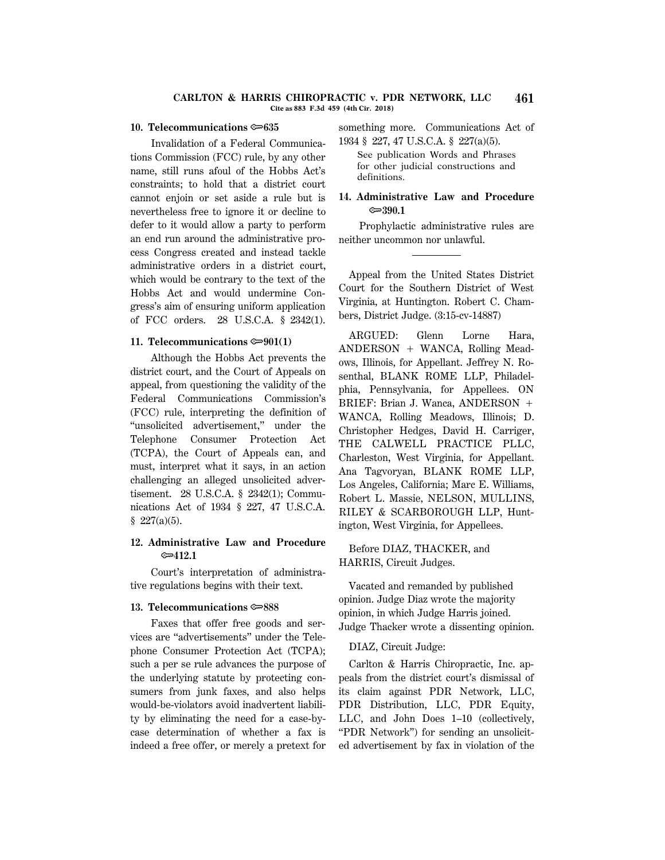#### **CARLTON & HARRIS CHIROPRACTIC v. PDR NETWORK, LLC 461 Cite as 883 F.3d 459 (4th Cir. 2018)**

#### **10. Telecommunications**  $\approx 635$

Invalidation of a Federal Communications Commission (FCC) rule, by any other name, still runs afoul of the Hobbs Act's constraints; to hold that a district court cannot enjoin or set aside a rule but is nevertheless free to ignore it or decline to defer to it would allow a party to perform an end run around the administrative process Congress created and instead tackle administrative orders in a district court, which would be contrary to the text of the Hobbs Act and would undermine Congress's aim of ensuring uniform application of FCC orders. 28 U.S.C.A. § 2342(1).

### **11. Telecommunications**  $\approx 901(1)$

Although the Hobbs Act prevents the district court, and the Court of Appeals on appeal, from questioning the validity of the Federal Communications Commission's (FCC) rule, interpreting the definition of ''unsolicited advertisement,'' under the Telephone Consumer Protection Act (TCPA), the Court of Appeals can, and must, interpret what it says, in an action challenging an alleged unsolicited advertisement. 28 U.S.C.A. § 2342(1); Communications Act of 1934 § 227, 47 U.S.C.A.  $$227(a)(5).$ 

# **12. Administrative Law and Procedure** O**412.1**

Court's interpretation of administrative regulations begins with their text.

### **13. Telecommunications**  $\approx 888$

Faxes that offer free goods and services are ''advertisements'' under the Telephone Consumer Protection Act (TCPA); such a per se rule advances the purpose of the underlying statute by protecting consumers from junk faxes, and also helps would-be-violators avoid inadvertent liability by eliminating the need for a case-bycase determination of whether a fax is indeed a free offer, or merely a pretext for something more. Communications Act of 1934 § 227, 47 U.S.C.A. § 227(a)(5).

See publication Words and Phrases for other judicial constructions and definitions.

## **14. Administrative Law and Procedure** O**390.1**

Prophylactic administrative rules are neither uncommon nor unlawful.

Appeal from the United States District Court for the Southern District of West Virginia, at Huntington. Robert C. Chambers, District Judge. (3:15-cv-14887)

ARGUED: Glenn Lorne Hara,  $ANDERSON + WANCA$ , Rolling Meadows, Illinois, for Appellant. Jeffrey N. Rosenthal, BLANK ROME LLP, Philadelphia, Pennsylvania, for Appellees. ON BRIEF: Brian J. Wanca,  $ANDERSON +$ WANCA, Rolling Meadows, Illinois; D. Christopher Hedges, David H. Carriger, THE CALWELL PRACTICE PLLC, Charleston, West Virginia, for Appellant. Ana Tagvoryan, BLANK ROME LLP, Los Angeles, California; Marc E. Williams, Robert L. Massie, NELSON, MULLINS, RILEY & SCARBOROUGH LLP, Huntington, West Virginia, for Appellees.

Before DIAZ, THACKER, and HARRIS, Circuit Judges.

Vacated and remanded by published opinion. Judge Diaz wrote the majority opinion, in which Judge Harris joined. Judge Thacker wrote a dissenting opinion.

#### DIAZ, Circuit Judge:

Carlton & Harris Chiropractic, Inc. appeals from the district court's dismissal of its claim against PDR Network, LLC, PDR Distribution, LLC, PDR Equity, LLC, and John Does 1–10 (collectively, ''PDR Network'') for sending an unsolicited advertisement by fax in violation of the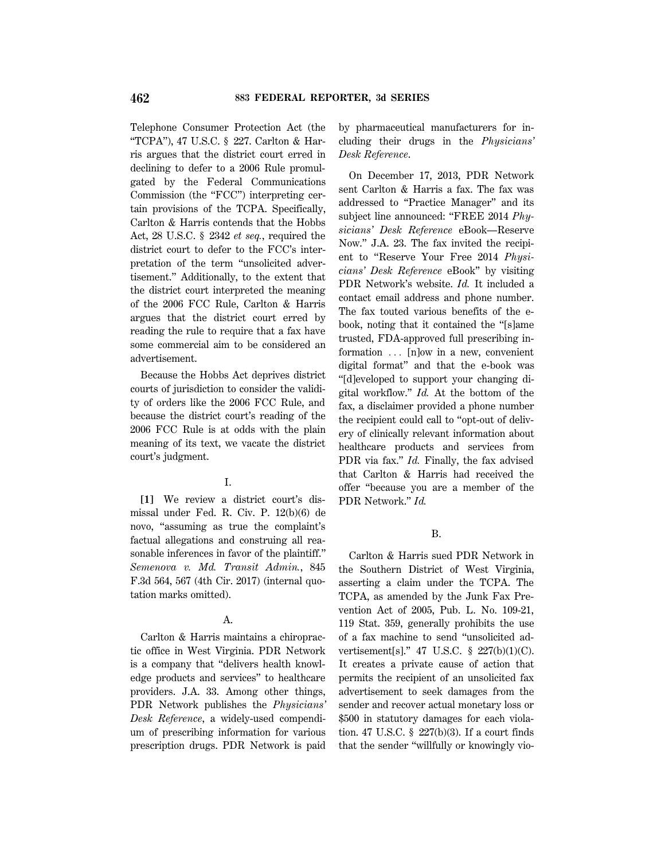Telephone Consumer Protection Act (the "TCPA"), 47 U.S.C. § 227. Carlton & Harris argues that the district court erred in declining to defer to a 2006 Rule promulgated by the Federal Communications Commission (the "FCC") interpreting certain provisions of the TCPA. Specifically, Carlton & Harris contends that the Hobbs Act, 28 U.S.C. § 2342 *et seq.*, required the district court to defer to the FCC's interpretation of the term ''unsolicited advertisement.'' Additionally, to the extent that the district court interpreted the meaning of the 2006 FCC Rule, Carlton & Harris argues that the district court erred by reading the rule to require that a fax have some commercial aim to be considered an advertisement.

Because the Hobbs Act deprives district courts of jurisdiction to consider the validity of orders like the 2006 FCC Rule, and because the district court's reading of the 2006 FCC Rule is at odds with the plain meaning of its text, we vacate the district court's judgment.

## I.

**[1]** We review a district court's dismissal under Fed. R. Civ. P. 12(b)(6) de novo, ''assuming as true the complaint's factual allegations and construing all reasonable inferences in favor of the plaintiff.'' *Semenova v. Md. Transit Admin.*, 845 F.3d 564, 567 (4th Cir. 2017) (internal quotation marks omitted).

## A.

Carlton & Harris maintains a chiropractic office in West Virginia. PDR Network is a company that ''delivers health knowledge products and services'' to healthcare providers. J.A. 33. Among other things, PDR Network publishes the *Physicians' Desk Reference*, a widely-used compendium of prescribing information for various prescription drugs. PDR Network is paid by pharmaceutical manufacturers for including their drugs in the *Physicians' Desk Reference*.

On December 17, 2013, PDR Network sent Carlton & Harris a fax. The fax was addressed to ''Practice Manager'' and its subject line announced: ''FREE 2014 *Physicians' Desk Reference* eBook—Reserve Now.'' J.A. 23. The fax invited the recipient to ''Reserve Your Free 2014 *Physicians' Desk Reference* eBook'' by visiting PDR Network's website. *Id.* It included a contact email address and phone number. The fax touted various benefits of the ebook, noting that it contained the ''[s]ame trusted, FDA-approved full prescribing information  $\ldots$  [n]ow in a new, convenient digital format'' and that the e-book was ''[d]eveloped to support your changing digital workflow.'' *Id.* At the bottom of the fax, a disclaimer provided a phone number the recipient could call to ''opt-out of delivery of clinically relevant information about healthcare products and services from PDR via fax.'' *Id.* Finally, the fax advised that Carlton & Harris had received the offer ''because you are a member of the PDR Network.'' *Id.*

### B.

Carlton & Harris sued PDR Network in the Southern District of West Virginia, asserting a claim under the TCPA. The TCPA, as amended by the Junk Fax Prevention Act of 2005, Pub. L. No. 109-21, 119 Stat. 359, generally prohibits the use of a fax machine to send ''unsolicited advertisement[s].'' 47 U.S.C. § 227(b)(1)(C). It creates a private cause of action that permits the recipient of an unsolicited fax advertisement to seek damages from the sender and recover actual monetary loss or \$500 in statutory damages for each violation. 47 U.S.C. § 227(b)(3). If a court finds that the sender ''willfully or knowingly vio-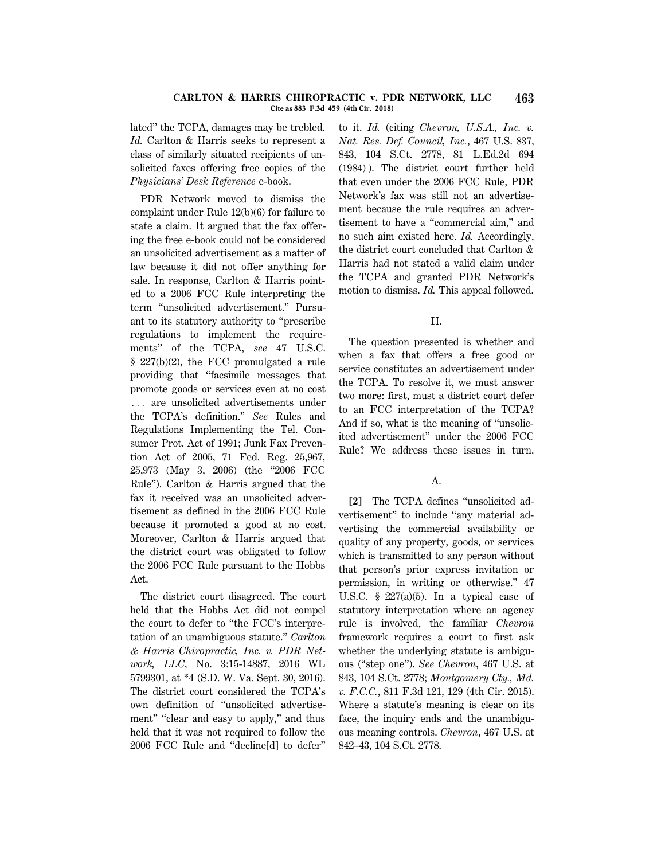#### **CARLTON & HARRIS CHIROPRACTIC v. PDR NETWORK, LLC 463 Cite as 883 F.3d 459 (4th Cir. 2018)**

lated'' the TCPA, damages may be trebled. *Id.* Carlton & Harris seeks to represent a class of similarly situated recipients of unsolicited faxes offering free copies of the *Physicians' Desk Reference* e-book.

PDR Network moved to dismiss the complaint under Rule 12(b)(6) for failure to state a claim. It argued that the fax offering the free e-book could not be considered an unsolicited advertisement as a matter of law because it did not offer anything for sale. In response, Carlton & Harris pointed to a 2006 FCC Rule interpreting the term ''unsolicited advertisement.'' Pursuant to its statutory authority to ''prescribe regulations to implement the requirements'' of the TCPA, *see* 47 U.S.C. § 227(b)(2), the FCC promulgated a rule providing that ''facsimile messages that promote goods or services even at no cost ... are unsolicited advertisements under the TCPA's definition.'' *See* Rules and Regulations Implementing the Tel. Consumer Prot. Act of 1991; Junk Fax Prevention Act of 2005, 71 Fed. Reg. 25,967, 25,973 (May 3, 2006) (the "2006 FCC Rule''). Carlton & Harris argued that the fax it received was an unsolicited advertisement as defined in the 2006 FCC Rule because it promoted a good at no cost. Moreover, Carlton & Harris argued that the district court was obligated to follow the 2006 FCC Rule pursuant to the Hobbs Act.

The district court disagreed. The court held that the Hobbs Act did not compel the court to defer to ''the FCC's interpretation of an unambiguous statute.'' *Carlton & Harris Chiropractic, Inc. v. PDR Network, LLC*, No. 3:15-14887, 2016 WL 5799301, at \*4 (S.D. W. Va. Sept. 30, 2016). The district court considered the TCPA's own definition of ''unsolicited advertisement" "clear and easy to apply," and thus held that it was not required to follow the 2006 FCC Rule and ''decline[d] to defer''

to it. *Id.* (citing *Chevron, U.S.A., Inc. v. Nat. Res. Def. Council, Inc.*, 467 U.S. 837, 843, 104 S.Ct. 2778, 81 L.Ed.2d 694 (1984) ). The district court further held that even under the 2006 FCC Rule, PDR Network's fax was still not an advertisement because the rule requires an advertisement to have a ''commercial aim,'' and no such aim existed here. *Id.* Accordingly, the district court concluded that Carlton & Harris had not stated a valid claim under the TCPA and granted PDR Network's motion to dismiss. *Id.* This appeal followed.

### II.

The question presented is whether and when a fax that offers a free good or service constitutes an advertisement under the TCPA. To resolve it, we must answer two more: first, must a district court defer to an FCC interpretation of the TCPA? And if so, what is the meaning of ''unsolicited advertisement'' under the 2006 FCC Rule? We address these issues in turn.

## A.

**[2]** The TCPA defines ''unsolicited advertisement'' to include ''any material advertising the commercial availability or quality of any property, goods, or services which is transmitted to any person without that person's prior express invitation or permission, in writing or otherwise.'' 47 U.S.C.  $\S$  227(a)(5). In a typical case of statutory interpretation where an agency rule is involved, the familiar *Chevron* framework requires a court to first ask whether the underlying statute is ambiguous (''step one''). *See Chevron*, 467 U.S. at 843, 104 S.Ct. 2778; *Montgomery Cty., Md. v. F.C.C.*, 811 F.3d 121, 129 (4th Cir. 2015). Where a statute's meaning is clear on its face, the inquiry ends and the unambiguous meaning controls. *Chevron*, 467 U.S. at 842–43, 104 S.Ct. 2778.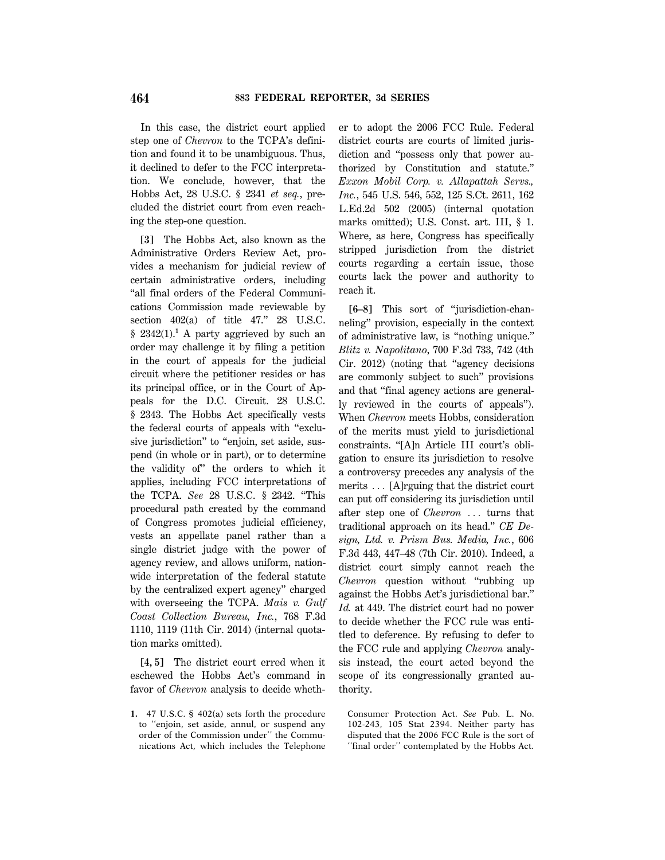In this case, the district court applied step one of *Chevron* to the TCPA's definition and found it to be unambiguous. Thus, it declined to defer to the FCC interpretation. We conclude, however, that the Hobbs Act, 28 U.S.C. § 2341 *et seq.*, precluded the district court from even reaching the step-one question.

**[3]** The Hobbs Act, also known as the Administrative Orders Review Act, provides a mechanism for judicial review of certain administrative orders, including ''all final orders of the Federal Communications Commission made reviewable by section  $402(a)$  of title  $47.''$  28 U.S.C.  $§$  2342(1).<sup>1</sup> A party aggrieved by such an order may challenge it by filing a petition in the court of appeals for the judicial circuit where the petitioner resides or has its principal office, or in the Court of Appeals for the D.C. Circuit. 28 U.S.C. § 2343. The Hobbs Act specifically vests the federal courts of appeals with ''exclusive jurisdiction" to "enjoin, set aside, suspend (in whole or in part), or to determine the validity of'' the orders to which it applies, including FCC interpretations of the TCPA. *See* 28 U.S.C. § 2342. ''This procedural path created by the command of Congress promotes judicial efficiency, vests an appellate panel rather than a single district judge with the power of agency review, and allows uniform, nationwide interpretation of the federal statute by the centralized expert agency'' charged with overseeing the TCPA. *Mais v. Gulf Coast Collection Bureau, Inc.*, 768 F.3d 1110, 1119 (11th Cir. 2014) (internal quotation marks omitted).

**[4, 5]** The district court erred when it eschewed the Hobbs Act's command in favor of *Chevron* analysis to decide wheth-

**1.** 47 U.S.C. § 402(a) sets forth the procedure to ''enjoin, set aside, annul, or suspend any order of the Commission under'' the Communications Act, which includes the Telephone er to adopt the 2006 FCC Rule. Federal district courts are courts of limited jurisdiction and ''possess only that power authorized by Constitution and statute.'' *Exxon Mobil Corp. v. Allapattah Servs., Inc.*, 545 U.S. 546, 552, 125 S.Ct. 2611, 162 L.Ed.2d 502 (2005) (internal quotation marks omitted); U.S. Const. art. III, § 1. Where, as here, Congress has specifically stripped jurisdiction from the district courts regarding a certain issue, those courts lack the power and authority to reach it.

**[6–8]** This sort of ''jurisdiction-channeling'' provision, especially in the context of administrative law, is ''nothing unique.'' *Blitz v. Napolitano*, 700 F.3d 733, 742 (4th Cir. 2012) (noting that ''agency decisions are commonly subject to such'' provisions and that ''final agency actions are generally reviewed in the courts of appeals''). When *Chevron* meets Hobbs, consideration of the merits must yield to jurisdictional constraints. ''[A]n Article III court's obligation to ensure its jurisdiction to resolve a controversy precedes any analysis of the merits  $\ldots$  [A]rguing that the district court can put off considering its jurisdiction until after step one of *Chevron* ... turns that traditional approach on its head.'' *CE Design, Ltd. v. Prism Bus. Media, Inc.*, 606 F.3d 443, 447–48 (7th Cir. 2010). Indeed, a district court simply cannot reach the *Chevron* question without ''rubbing up against the Hobbs Act's jurisdictional bar.'' *Id.* at 449. The district court had no power to decide whether the FCC rule was entitled to deference. By refusing to defer to the FCC rule and applying *Chevron* analysis instead, the court acted beyond the scope of its congressionally granted authority.

Consumer Protection Act. *See* Pub. L. No. 102-243, 105 Stat 2394. Neither party has disputed that the 2006 FCC Rule is the sort of "final order" contemplated by the Hobbs Act.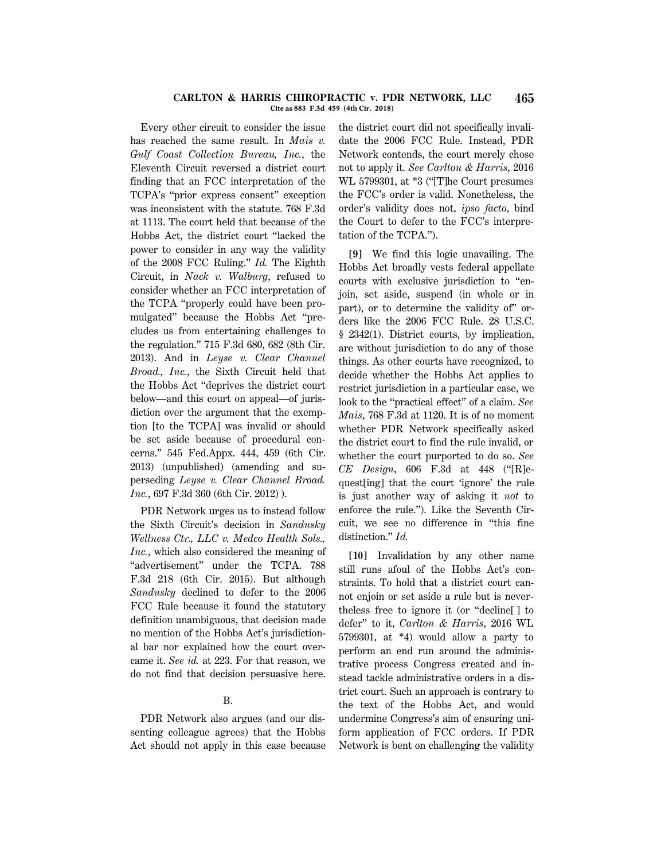#### **CARLTON & HARRIS CHIROPRACTIC v. PDR NETWORK, LLC 465 Cite as 883 F.3d 459 (4th Cir. 2018)**

Every other circuit to consider the issue has reached the same result. In *Mais v. Gulf Coast Collection Bureau, Inc.*, the Eleventh Circuit reversed a district court finding that an FCC interpretation of the TCPA's ''prior express consent'' exception was inconsistent with the statute. 768 F.3d at 1113. The court held that because of the Hobbs Act, the district court ''lacked the power to consider in any way the validity of the 2008 FCC Ruling.'' *Id.* The Eighth Circuit, in *Nack v. Walburg*, refused to consider whether an FCC interpretation of the TCPA ''properly could have been promulgated'' because the Hobbs Act ''precludes us from entertaining challenges to the regulation.'' 715 F.3d 680, 682 (8th Cir. 2013). And in *Leyse v. Clear Channel Broad., Inc.*, the Sixth Circuit held that the Hobbs Act ''deprives the district court below—and this court on appeal—of jurisdiction over the argument that the exemption [to the TCPA] was invalid or should be set aside because of procedural concerns.'' 545 Fed.Appx. 444, 459 (6th Cir. 2013) (unpublished) (amending and superseding *Leyse v. Clear Channel Broad. Inc.*, 697 F.3d 360 (6th Cir. 2012) ).

PDR Network urges us to instead follow the Sixth Circuit's decision in *Sandusky Wellness Ctr., LLC v. Medco Health Sols., Inc.*, which also considered the meaning of "advertisement" under the TCPA. 788 F.3d 218 (6th Cir. 2015). But although *Sandusky* declined to defer to the 2006 FCC Rule because it found the statutory definition unambiguous, that decision made no mention of the Hobbs Act's jurisdictional bar nor explained how the court overcame it. *See id.* at 223. For that reason, we do not find that decision persuasive here.

## B.

PDR Network also argues (and our dissenting colleague agrees) that the Hobbs Act should not apply in this case because the district court did not specifically invalidate the 2006 FCC Rule. Instead, PDR Network contends, the court merely chose not to apply it. *See Carlton & Harris*, 2016 WL 5799301, at \*3 (''[T]he Court presumes the FCC's order is valid. Nonetheless, the order's validity does not, *ipso facto*, bind the Court to defer to the FCC's interpretation of the TCPA.'').

**[9]** We find this logic unavailing. The Hobbs Act broadly vests federal appellate courts with exclusive jurisdiction to ''enjoin, set aside, suspend (in whole or in part), or to determine the validity of'' orders like the 2006 FCC Rule. 28 U.S.C. § 2342(1). District courts, by implication, are without jurisdiction to do any of those things. As other courts have recognized, to decide whether the Hobbs Act applies to restrict jurisdiction in a particular case, we look to the ''practical effect'' of a claim. *See Mais*, 768 F.3d at 1120. It is of no moment whether PDR Network specifically asked the district court to find the rule invalid, or whether the court purported to do so. *See CE Design*, 606 F.3d at 448 (''[R]equest[ing] that the court 'ignore' the rule is just another way of asking it *not* to enforce the rule.''). Like the Seventh Circuit, we see no difference in ''this fine distinction.'' *Id.*

**[10]** Invalidation by any other name still runs afoul of the Hobbs Act's constraints. To hold that a district court cannot enjoin or set aside a rule but is nevertheless free to ignore it (or ''decline[ ] to defer'' to it, *Carlton & Harris*, 2016 WL 5799301, at \*4) would allow a party to perform an end run around the administrative process Congress created and instead tackle administrative orders in a district court. Such an approach is contrary to the text of the Hobbs Act, and would undermine Congress's aim of ensuring uniform application of FCC orders. If PDR Network is bent on challenging the validity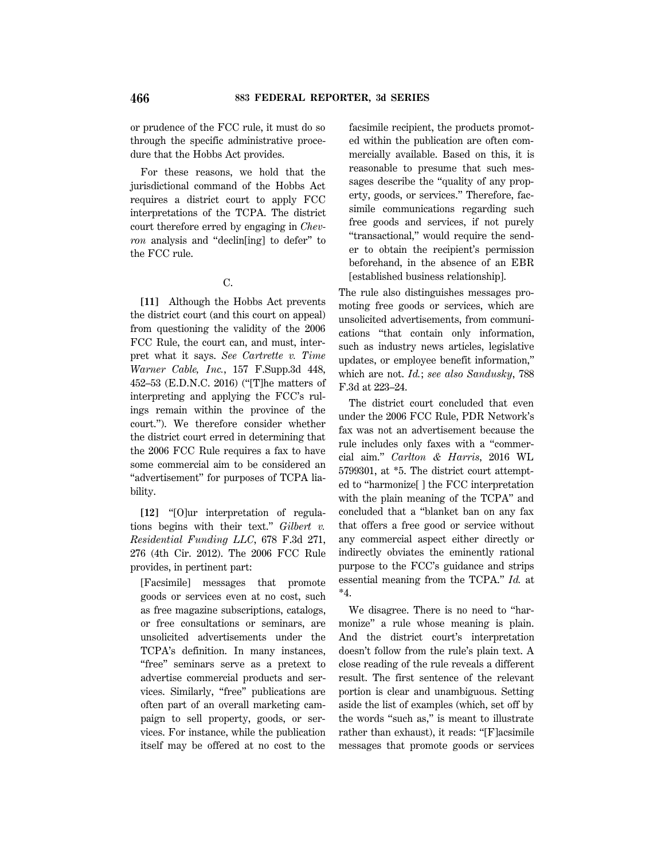or prudence of the FCC rule, it must do so through the specific administrative procedure that the Hobbs Act provides.

For these reasons, we hold that the jurisdictional command of the Hobbs Act requires a district court to apply FCC interpretations of the TCPA. The district court therefore erred by engaging in *Chevron* analysis and ''declin[ing] to defer'' to the FCC rule.

### C.

**[11]** Although the Hobbs Act prevents the district court (and this court on appeal) from questioning the validity of the 2006 FCC Rule, the court can, and must, interpret what it says. *See Cartrette v. Time Warner Cable, Inc.*, 157 F.Supp.3d 448, 452–53 (E.D.N.C. 2016) (''[T]he matters of interpreting and applying the FCC's rulings remain within the province of the court.''). We therefore consider whether the district court erred in determining that the 2006 FCC Rule requires a fax to have some commercial aim to be considered an "advertisement" for purposes of TCPA liability.

**[12]** ''[O]ur interpretation of regulations begins with their text.'' *Gilbert v. Residential Funding LLC*, 678 F.3d 271, 276 (4th Cir. 2012). The 2006 FCC Rule provides, in pertinent part:

[Facsimile] messages that promote goods or services even at no cost, such as free magazine subscriptions, catalogs, or free consultations or seminars, are unsolicited advertisements under the TCPA's definition. In many instances, "free" seminars serve as a pretext to advertise commercial products and services. Similarly, ''free'' publications are often part of an overall marketing campaign to sell property, goods, or services. For instance, while the publication itself may be offered at no cost to the facsimile recipient, the products promoted within the publication are often commercially available. Based on this, it is reasonable to presume that such messages describe the "quality of any property, goods, or services.'' Therefore, facsimile communications regarding such free goods and services, if not purely ''transactional,'' would require the sender to obtain the recipient's permission beforehand, in the absence of an EBR [established business relationship].

The rule also distinguishes messages promoting free goods or services, which are unsolicited advertisements, from communications ''that contain only information, such as industry news articles, legislative updates, or employee benefit information,'' which are not. *Id.*; *see also Sandusky*, 788 F.3d at 223–24.

The district court concluded that even under the 2006 FCC Rule, PDR Network's fax was not an advertisement because the rule includes only faxes with a ''commercial aim.'' *Carlton & Harris*, 2016 WL 5799301, at \*5. The district court attempted to ''harmonize[ ] the FCC interpretation with the plain meaning of the TCPA'' and concluded that a ''blanket ban on any fax that offers a free good or service without any commercial aspect either directly or indirectly obviates the eminently rational purpose to the FCC's guidance and strips essential meaning from the TCPA.'' *Id.* at \*4.

We disagree. There is no need to ''harmonize'' a rule whose meaning is plain. And the district court's interpretation doesn't follow from the rule's plain text. A close reading of the rule reveals a different result. The first sentence of the relevant portion is clear and unambiguous. Setting aside the list of examples (which, set off by the words ''such as,'' is meant to illustrate rather than exhaust), it reads: ''[F]acsimile messages that promote goods or services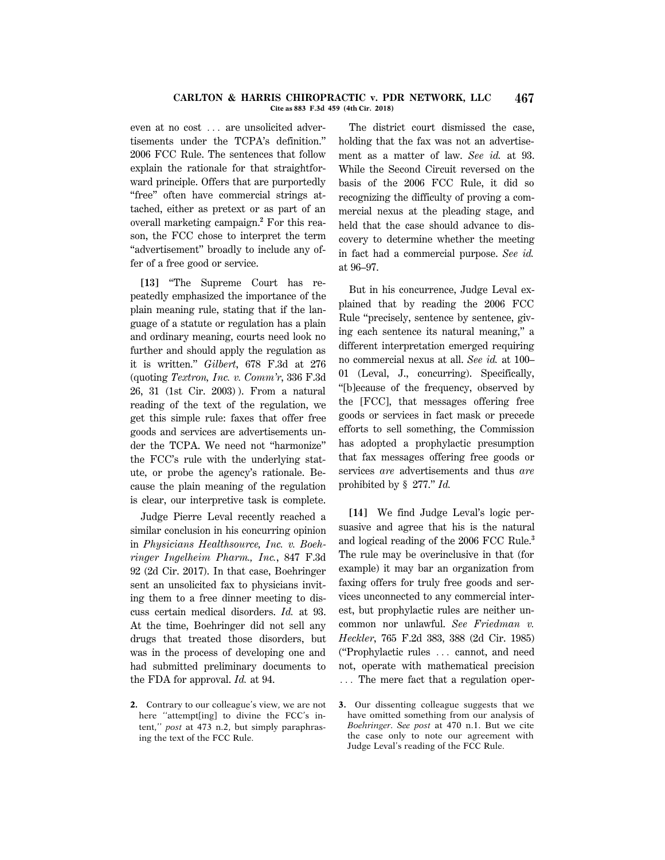#### **CARLTON & HARRIS CHIROPRACTIC v. PDR NETWORK, LLC 467 Cite as 883 F.3d 459 (4th Cir. 2018)**

even at no cost ... are unsolicited advertisements under the TCPA's definition.'' 2006 FCC Rule. The sentences that follow explain the rationale for that straightforward principle. Offers that are purportedly "free" often have commercial strings attached, either as pretext or as part of an overall marketing campaign.**<sup>2</sup>** For this reason, the FCC chose to interpret the term "advertisement" broadly to include any offer of a free good or service.

**[13]** ''The Supreme Court has repeatedly emphasized the importance of the plain meaning rule, stating that if the language of a statute or regulation has a plain and ordinary meaning, courts need look no further and should apply the regulation as it is written.'' *Gilbert*, 678 F.3d at 276 (quoting *Textron, Inc. v. Comm'r*, 336 F.3d 26, 31 (1st Cir. 2003) ). From a natural reading of the text of the regulation, we get this simple rule: faxes that offer free goods and services are advertisements under the TCPA. We need not ''harmonize'' the FCC's rule with the underlying statute, or probe the agency's rationale. Because the plain meaning of the regulation is clear, our interpretive task is complete.

Judge Pierre Leval recently reached a similar conclusion in his concurring opinion in *Physicians Healthsource, Inc. v. Boehringer Ingelheim Pharm., Inc.*, 847 F.3d 92 (2d Cir. 2017). In that case, Boehringer sent an unsolicited fax to physicians inviting them to a free dinner meeting to discuss certain medical disorders. *Id.* at 93. At the time, Boehringer did not sell any drugs that treated those disorders, but was in the process of developing one and had submitted preliminary documents to the FDA for approval. *Id.* at 94.

**2.** Contrary to our colleague's view, we are not here "attempt[ing] to divine the FCC's intent,'' *post* at 473 n.2, but simply paraphrasing the text of the FCC Rule.

The district court dismissed the case, holding that the fax was not an advertisement as a matter of law. *See id.* at 93. While the Second Circuit reversed on the basis of the 2006 FCC Rule, it did so recognizing the difficulty of proving a commercial nexus at the pleading stage, and held that the case should advance to discovery to determine whether the meeting in fact had a commercial purpose. *See id.* at 96–97.

But in his concurrence, Judge Leval explained that by reading the 2006 FCC Rule ''precisely, sentence by sentence, giving each sentence its natural meaning,'' a different interpretation emerged requiring no commercial nexus at all. *See id.* at 100– 01 (Leval, J., concurring). Specifically, ''[b]ecause of the frequency, observed by the [FCC], that messages offering free goods or services in fact mask or precede efforts to sell something, the Commission has adopted a prophylactic presumption that fax messages offering free goods or services *are* advertisements and thus *are* prohibited by § 277.'' *Id.*

**[14]** We find Judge Leval's logic persuasive and agree that his is the natural and logical reading of the 2006 FCC Rule.**<sup>3</sup>** The rule may be overinclusive in that (for example) it may bar an organization from faxing offers for truly free goods and services unconnected to any commercial interest, but prophylactic rules are neither uncommon nor unlawful. *See Friedman v. Heckler*, 765 F.2d 383, 388 (2d Cir. 1985) ("Prophylactic rules ... cannot, and need not, operate with mathematical precision  $\ldots$  The mere fact that a regulation oper-

**<sup>3.</sup>** Our dissenting colleague suggests that we have omitted something from our analysis of *Boehringer*. *See post* at 470 n.1. But we cite the case only to note our agreement with Judge Leval's reading of the FCC Rule.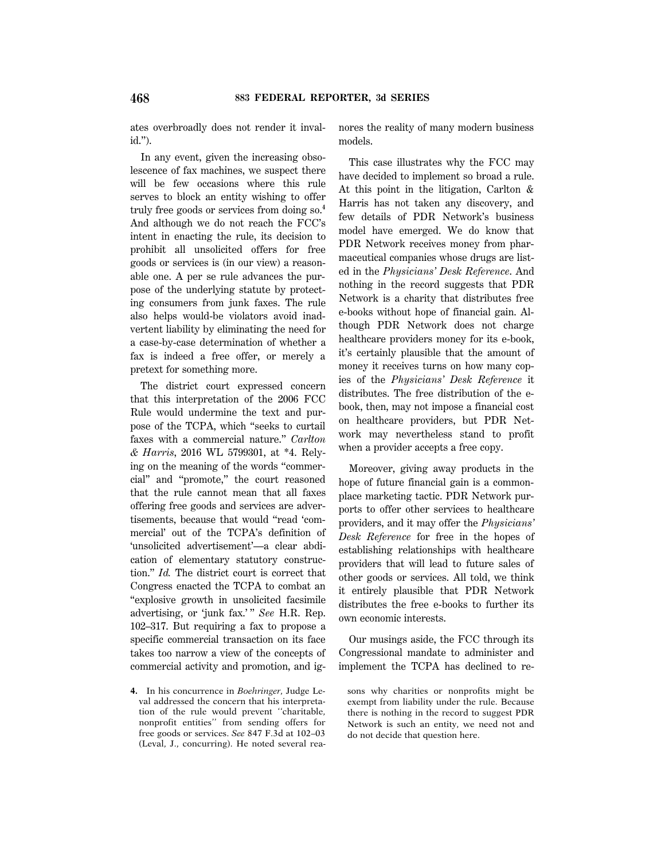ates overbroadly does not render it invalid.'').

In any event, given the increasing obsolescence of fax machines, we suspect there will be few occasions where this rule serves to block an entity wishing to offer truly free goods or services from doing so.**<sup>4</sup>** And although we do not reach the FCC's intent in enacting the rule, its decision to prohibit all unsolicited offers for free goods or services is (in our view) a reasonable one. A per se rule advances the purpose of the underlying statute by protecting consumers from junk faxes. The rule also helps would-be violators avoid inadvertent liability by eliminating the need for a case-by-case determination of whether a fax is indeed a free offer, or merely a pretext for something more.

The district court expressed concern that this interpretation of the 2006 FCC Rule would undermine the text and purpose of the TCPA, which ''seeks to curtail faxes with a commercial nature.'' *Carlton & Harris*, 2016 WL 5799301, at \*4. Relying on the meaning of the words ''commercial'' and ''promote,'' the court reasoned that the rule cannot mean that all faxes offering free goods and services are advertisements, because that would ''read 'commercial' out of the TCPA's definition of 'unsolicited advertisement'—a clear abdication of elementary statutory construction.'' *Id.* The district court is correct that Congress enacted the TCPA to combat an ''explosive growth in unsolicited facsimile advertising, or 'junk fax.'" See H.R. Rep. 102–317. But requiring a fax to propose a specific commercial transaction on its face takes too narrow a view of the concepts of commercial activity and promotion, and ig-

**4.** In his concurrence in *Boehringer*, Judge Leval addressed the concern that his interpretation of the rule would prevent ''charitable, nonprofit entities'' from sending offers for free goods or services. *See* 847 F.3d at 102–03 (Leval, J., concurring). He noted several reanores the reality of many modern business models.

This case illustrates why the FCC may have decided to implement so broad a rule. At this point in the litigation, Carlton & Harris has not taken any discovery, and few details of PDR Network's business model have emerged. We do know that PDR Network receives money from pharmaceutical companies whose drugs are listed in the *Physicians' Desk Reference*. And nothing in the record suggests that PDR Network is a charity that distributes free e-books without hope of financial gain. Although PDR Network does not charge healthcare providers money for its e-book, it's certainly plausible that the amount of money it receives turns on how many copies of the *Physicians' Desk Reference* it distributes. The free distribution of the ebook, then, may not impose a financial cost on healthcare providers, but PDR Network may nevertheless stand to profit when a provider accepts a free copy.

Moreover, giving away products in the hope of future financial gain is a commonplace marketing tactic. PDR Network purports to offer other services to healthcare providers, and it may offer the *Physicians' Desk Reference* for free in the hopes of establishing relationships with healthcare providers that will lead to future sales of other goods or services. All told, we think it entirely plausible that PDR Network distributes the free e-books to further its own economic interests.

Our musings aside, the FCC through its Congressional mandate to administer and implement the TCPA has declined to re-

sons why charities or nonprofits might be exempt from liability under the rule. Because there is nothing in the record to suggest PDR Network is such an entity, we need not and do not decide that question here.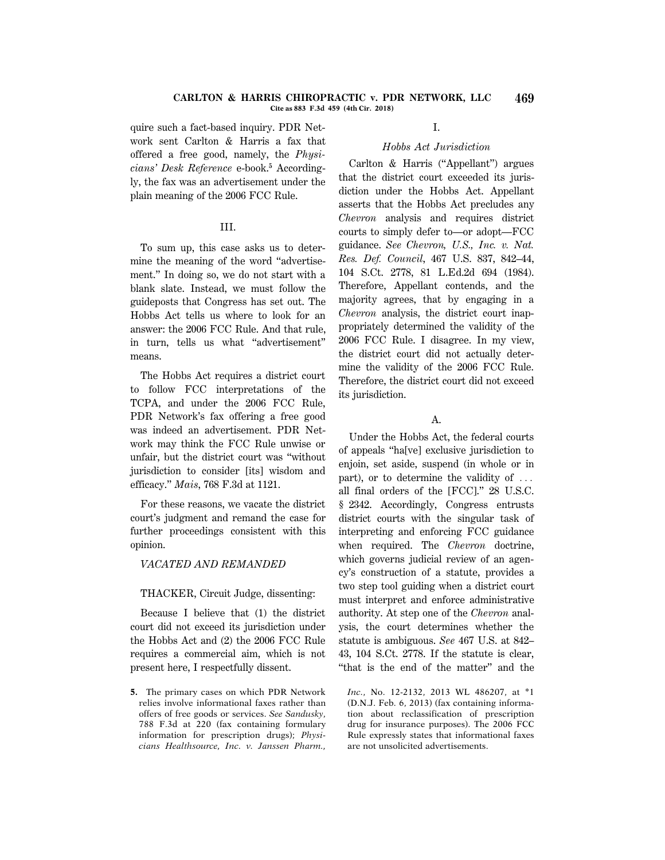#### **CARLTON & HARRIS CHIROPRACTIC v. PDR NETWORK, LLC 469 Cite as 883 F.3d 459 (4th Cir. 2018)**

quire such a fact-based inquiry. PDR Network sent Carlton & Harris a fax that offered a free good, namely, the *Physicians' Desk Reference* e-book.**<sup>5</sup>** Accordingly, the fax was an advertisement under the plain meaning of the 2006 FCC Rule.

# III.

To sum up, this case asks us to determine the meaning of the word ''advertisement.'' In doing so, we do not start with a blank slate. Instead, we must follow the guideposts that Congress has set out. The Hobbs Act tells us where to look for an answer: the 2006 FCC Rule. And that rule, in turn, tells us what ''advertisement'' means.

The Hobbs Act requires a district court to follow FCC interpretations of the TCPA, and under the 2006 FCC Rule, PDR Network's fax offering a free good was indeed an advertisement. PDR Network may think the FCC Rule unwise or unfair, but the district court was ''without jurisdiction to consider [its] wisdom and efficacy.'' *Mais*, 768 F.3d at 1121.

For these reasons, we vacate the district court's judgment and remand the case for further proceedings consistent with this opinion.

## *VACATED AND REMANDED*

### THACKER, Circuit Judge, dissenting:

Because I believe that (1) the district court did not exceed its jurisdiction under the Hobbs Act and (2) the 2006 FCC Rule requires a commercial aim, which is not present here, I respectfully dissent.

**5.** The primary cases on which PDR Network relies involve informational faxes rather than offers of free goods or services. *See Sandusky*, 788 F.3d at 220 (fax containing formulary information for prescription drugs); *Physicians Healthsource, Inc. v. Janssen Pharm.,*

# I.

## *Hobbs Act Jurisdiction*

Carlton & Harris (''Appellant'') argues that the district court exceeded its jurisdiction under the Hobbs Act. Appellant asserts that the Hobbs Act precludes any *Chevron* analysis and requires district courts to simply defer to—or adopt—FCC guidance. *See Chevron, U.S., Inc. v. Nat. Res. Def. Council*, 467 U.S. 837, 842–44, 104 S.Ct. 2778, 81 L.Ed.2d 694 (1984). Therefore, Appellant contends, and the majority agrees, that by engaging in a *Chevron* analysis, the district court inappropriately determined the validity of the 2006 FCC Rule. I disagree. In my view, the district court did not actually determine the validity of the 2006 FCC Rule. Therefore, the district court did not exceed its jurisdiction.

## A.

Under the Hobbs Act, the federal courts of appeals ''ha[ve] exclusive jurisdiction to enjoin, set aside, suspend (in whole or in part), or to determine the validity of  $\ldots$ all final orders of the [FCC].'' 28 U.S.C. § 2342. Accordingly, Congress entrusts district courts with the singular task of interpreting and enforcing FCC guidance when required. The *Chevron* doctrine, which governs judicial review of an agency's construction of a statute, provides a two step tool guiding when a district court must interpret and enforce administrative authority. At step one of the *Chevron* analysis, the court determines whether the statute is ambiguous. *See* 467 U.S. at 842– 43, 104 S.Ct. 2778. If the statute is clear, ''that is the end of the matter'' and the

*Inc.*, No. 12-2132, 2013 WL 486207, at \*1 (D.N.J. Feb. 6, 2013) (fax containing information about reclassification of prescription drug for insurance purposes). The 2006 FCC Rule expressly states that informational faxes are not unsolicited advertisements.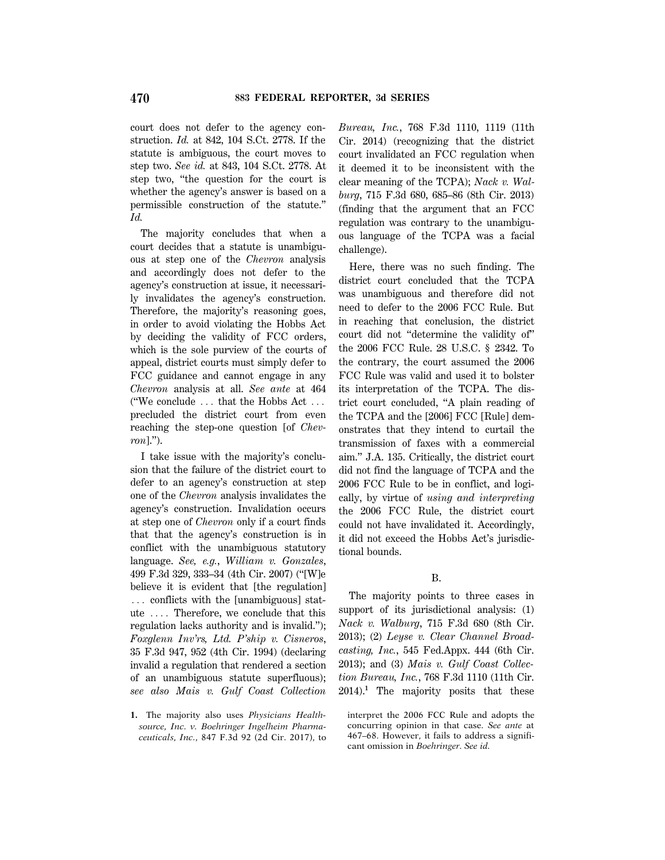court does not defer to the agency construction. *Id.* at 842, 104 S.Ct. 2778. If the statute is ambiguous, the court moves to step two. *See id.* at 843, 104 S.Ct. 2778. At step two, ''the question for the court is whether the agency's answer is based on a permissible construction of the statute.'' *Id.*

The majority concludes that when a court decides that a statute is unambiguous at step one of the *Chevron* analysis and accordingly does not defer to the agency's construction at issue, it necessarily invalidates the agency's construction. Therefore, the majority's reasoning goes, in order to avoid violating the Hobbs Act by deciding the validity of FCC orders, which is the sole purview of the courts of appeal, district courts must simply defer to FCC guidance and cannot engage in any *Chevron* analysis at all. *See ante* at 464 ("We conclude  $\ldots$  that the Hobbs Act  $\ldots$ precluded the district court from even reaching the step-one question [of *Chevron*].'').

I take issue with the majority's conclusion that the failure of the district court to defer to an agency's construction at step one of the *Chevron* analysis invalidates the agency's construction. Invalidation occurs at step one of *Chevron* only if a court finds that that the agency's construction is in conflict with the unambiguous statutory language. *See, e.g.*, *William v. Gonzales*, 499 F.3d 329, 333–34 (4th Cir. 2007) (''[W]e believe it is evident that [the regulation]  $\ldots$  conflicts with the [unambiguous] statute  $\ldots$  Therefore, we conclude that this regulation lacks authority and is invalid.''); *Foxglenn Inv'rs, Ltd. P'ship v. Cisneros*, 35 F.3d 947, 952 (4th Cir. 1994) (declaring invalid a regulation that rendered a section of an unambiguous statute superfluous); *see also Mais v. Gulf Coast Collection* *Bureau, Inc.*, 768 F.3d 1110, 1119 (11th Cir. 2014) (recognizing that the district court invalidated an FCC regulation when it deemed it to be inconsistent with the clear meaning of the TCPA); *Nack v. Walburg*, 715 F.3d 680, 685–86 (8th Cir. 2013) (finding that the argument that an FCC regulation was contrary to the unambiguous language of the TCPA was a facial challenge).

Here, there was no such finding. The district court concluded that the TCPA was unambiguous and therefore did not need to defer to the 2006 FCC Rule. But in reaching that conclusion, the district court did not ''determine the validity of'' the 2006 FCC Rule. 28 U.S.C. § 2342. To the contrary, the court assumed the 2006 FCC Rule was valid and used it to bolster its interpretation of the TCPA. The district court concluded, ''A plain reading of the TCPA and the [2006] FCC [Rule] demonstrates that they intend to curtail the transmission of faxes with a commercial aim.'' J.A. 135. Critically, the district court did not find the language of TCPA and the 2006 FCC Rule to be in conflict, and logically, by virtue of *using and interpreting* the 2006 FCC Rule, the district court could not have invalidated it. Accordingly, it did not exceed the Hobbs Act's jurisdictional bounds.

### B.

The majority points to three cases in support of its jurisdictional analysis: (1) *Nack v. Walburg*, 715 F.3d 680 (8th Cir. 2013); (2) *Leyse v. Clear Channel Broadcasting, Inc.*, 545 Fed.Appx. 444 (6th Cir. 2013); and (3) *Mais v. Gulf Coast Collection Bureau, Inc.*, 768 F.3d 1110 (11th Cir. 2014).**<sup>1</sup>** The majority posits that these

interpret the 2006 FCC Rule and adopts the concurring opinion in that case. *See ante* at 467–68. However, it fails to address a significant omission in *Boehringer*. *See id.*

**<sup>1.</sup>** The majority also uses *Physicians Healthsource, Inc. v. Boehringer Ingelheim Pharmaceuticals, Inc.*, 847 F.3d 92 (2d Cir. 2017), to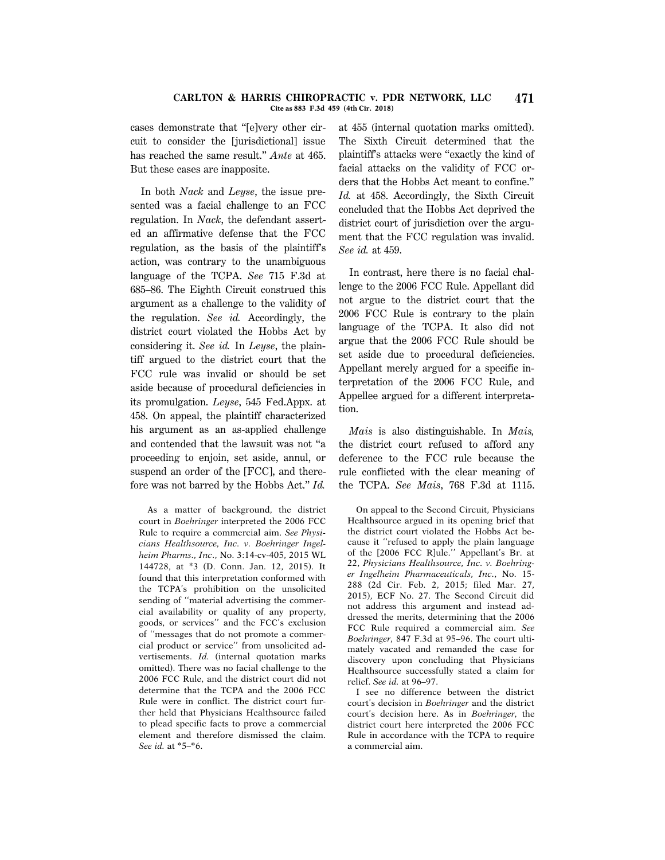#### **CARLTON & HARRIS CHIROPRACTIC v. PDR NETWORK, LLC 471 Cite as 883 F.3d 459 (4th Cir. 2018)**

cases demonstrate that ''[e]very other circuit to consider the [jurisdictional] issue has reached the same result.'' *Ante* at 465. But these cases are inapposite.

In both *Nack* and *Leyse*, the issue presented was a facial challenge to an FCC regulation. In *Nack*, the defendant asserted an affirmative defense that the FCC regulation, as the basis of the plaintiff's action, was contrary to the unambiguous language of the TCPA. *See* 715 F.3d at 685–86. The Eighth Circuit construed this argument as a challenge to the validity of the regulation. *See id.* Accordingly, the district court violated the Hobbs Act by considering it. *See id.* In *Leyse*, the plaintiff argued to the district court that the FCC rule was invalid or should be set aside because of procedural deficiencies in its promulgation. *Leyse*, 545 Fed.Appx. at 458. On appeal, the plaintiff characterized his argument as an as-applied challenge and contended that the lawsuit was not ''a proceeding to enjoin, set aside, annul, or suspend an order of the [FCC], and therefore was not barred by the Hobbs Act.'' *Id.*

As a matter of background, the district court in *Boehringer* interpreted the 2006 FCC Rule to require a commercial aim. *See Physicians Healthsource, Inc. v. Boehringer Ingelheim Pharms., Inc*., No. 3:14-cv-405, 2015 WL 144728, at \*3 (D. Conn. Jan. 12, 2015). It found that this interpretation conformed with the TCPA's prohibition on the unsolicited sending of ''material advertising the commercial availability or quality of any property, goods, or services'' and the FCC's exclusion of ''messages that do not promote a commercial product or service'' from unsolicited advertisements. *Id.* (internal quotation marks omitted). There was no facial challenge to the 2006 FCC Rule, and the district court did not determine that the TCPA and the 2006 FCC Rule were in conflict. The district court further held that Physicians Healthsource failed to plead specific facts to prove a commercial element and therefore dismissed the claim. *See id.* at \*5–\*6.

at 455 (internal quotation marks omitted). The Sixth Circuit determined that the plaintiff's attacks were ''exactly the kind of facial attacks on the validity of FCC orders that the Hobbs Act meant to confine.'' *Id.* at 458. Accordingly, the Sixth Circuit concluded that the Hobbs Act deprived the district court of jurisdiction over the argument that the FCC regulation was invalid. *See id.* at 459.

In contrast, here there is no facial challenge to the 2006 FCC Rule. Appellant did not argue to the district court that the 2006 FCC Rule is contrary to the plain language of the TCPA. It also did not argue that the 2006 FCC Rule should be set aside due to procedural deficiencies. Appellant merely argued for a specific interpretation of the 2006 FCC Rule, and Appellee argued for a different interpretation.

*Mais* is also distinguishable. In *Mais,* the district court refused to afford any deference to the FCC rule because the rule conflicted with the clear meaning of the TCPA. *See Mais*, 768 F.3d at 1115.

I see no difference between the district court's decision in *Boehringer* and the district court's decision here. As in *Boehringer*, the district court here interpreted the 2006 FCC Rule in accordance with the TCPA to require a commercial aim.

On appeal to the Second Circuit, Physicians Healthsource argued in its opening brief that the district court violated the Hobbs Act because it ''refused to apply the plain language of the [2006 FCC R]ule.'' Appellant's Br. at 22, *Physicians Healthsource, Inc. v. Boehringer Ingelheim Pharmaceuticals, Inc.*, No. 15- 288 (2d Cir. Feb. 2, 2015; filed Mar. 27, 2015), ECF No. 27. The Second Circuit did not address this argument and instead addressed the merits, determining that the 2006 FCC Rule required a commercial aim. *See Boehringer*, 847 F.3d at 95–96. The court ultimately vacated and remanded the case for discovery upon concluding that Physicians Healthsource successfully stated a claim for relief. *See id.* at 96–97.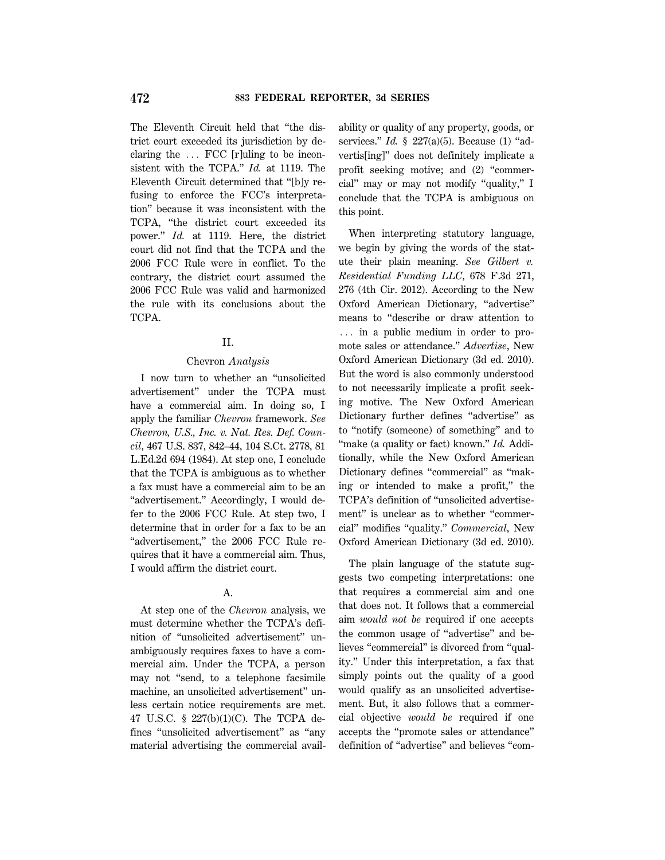The Eleventh Circuit held that ''the district court exceeded its jurisdiction by declaring the  $\ldots$  FCC [r]uling to be inconsistent with the TCPA.'' *Id.* at 1119. The Eleventh Circuit determined that ''[b]y refusing to enforce the FCC's interpretation'' because it was inconsistent with the TCPA, ''the district court exceeded its power.'' *Id.* at 1119. Here, the district court did not find that the TCPA and the 2006 FCC Rule were in conflict. To the contrary, the district court assumed the 2006 FCC Rule was valid and harmonized the rule with its conclusions about the TCPA.

### II.

#### Chevron *Analysis*

I now turn to whether an ''unsolicited advertisement'' under the TCPA must have a commercial aim. In doing so, I apply the familiar *Chevron* framework. *See Chevron, U.S., Inc. v. Nat. Res. Def. Council*, 467 U.S. 837, 842–44, 104 S.Ct. 2778, 81 L.Ed.2d 694 (1984). At step one, I conclude that the TCPA is ambiguous as to whether a fax must have a commercial aim to be an "advertisement." Accordingly, I would defer to the 2006 FCC Rule. At step two, I determine that in order for a fax to be an "advertisement," the 2006 FCC Rule requires that it have a commercial aim. Thus, I would affirm the district court.

### A.

At step one of the *Chevron* analysis, we must determine whether the TCPA's definition of ''unsolicited advertisement'' unambiguously requires faxes to have a commercial aim. Under the TCPA, a person may not "send, to a telephone facsimile machine, an unsolicited advertisement'' unless certain notice requirements are met. 47 U.S.C. § 227(b)(1)(C). The TCPA defines ''unsolicited advertisement'' as ''any material advertising the commercial availability or quality of any property, goods, or services." *Id.* § 227(a)(5). Because (1) "advertis[ing]'' does not definitely implicate a profit seeking motive; and (2) ''commercial'' may or may not modify ''quality,'' I conclude that the TCPA is ambiguous on this point.

When interpreting statutory language, we begin by giving the words of the statute their plain meaning. *See Gilbert v. Residential Funding LLC*, 678 F.3d 271, 276 (4th Cir. 2012). According to the New Oxford American Dictionary, ''advertise'' means to ''describe or draw attention to  $\ldots$  in a public medium in order to promote sales or attendance.'' *Advertise*, New Oxford American Dictionary (3d ed. 2010). But the word is also commonly understood to not necessarily implicate a profit seeking motive. The New Oxford American Dictionary further defines "advertise" as to ''notify (someone) of something'' and to ''make (a quality or fact) known.'' *Id.* Additionally, while the New Oxford American Dictionary defines "commercial" as "making or intended to make a profit,'' the TCPA's definition of ''unsolicited advertisement'' is unclear as to whether ''commercial'' modifies ''quality.'' *Commercial*, New Oxford American Dictionary (3d ed. 2010).

The plain language of the statute suggests two competing interpretations: one that requires a commercial aim and one that does not. It follows that a commercial aim *would not be* required if one accepts the common usage of ''advertise'' and believes ''commercial'' is divorced from ''quality.'' Under this interpretation, a fax that simply points out the quality of a good would qualify as an unsolicited advertisement. But, it also follows that a commercial objective *would be* required if one accepts the ''promote sales or attendance'' definition of ''advertise'' and believes ''com-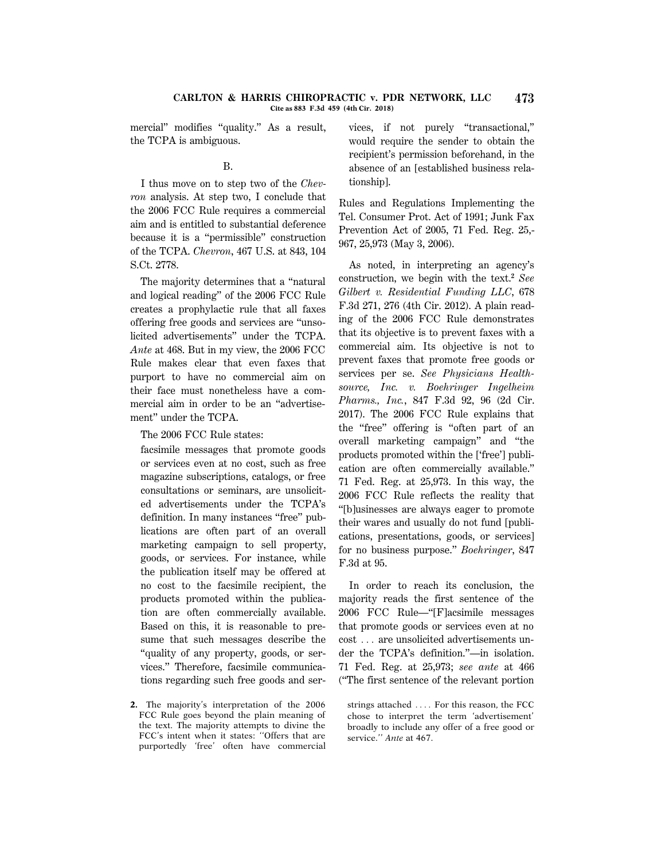#### **CARLTON & HARRIS CHIROPRACTIC v. PDR NETWORK, LLC 473 Cite as 883 F.3d 459 (4th Cir. 2018)**

mercial" modifies "quality." As a result, the TCPA is ambiguous.

### B.

I thus move on to step two of the *Chevron* analysis. At step two, I conclude that the 2006 FCC Rule requires a commercial aim and is entitled to substantial deference because it is a ''permissible'' construction of the TCPA. *Chevron*, 467 U.S. at 843, 104 S.Ct. 2778.

The majority determines that a "natural" and logical reading'' of the 2006 FCC Rule creates a prophylactic rule that all faxes offering free goods and services are ''unsolicited advertisements'' under the TCPA. *Ante* at 468. But in my view, the 2006 FCC Rule makes clear that even faxes that purport to have no commercial aim on their face must nonetheless have a commercial aim in order to be an ''advertisement'' under the TCPA.

The 2006 FCC Rule states:

facsimile messages that promote goods or services even at no cost, such as free magazine subscriptions, catalogs, or free consultations or seminars, are unsolicited advertisements under the TCPA's definition. In many instances "free" publications are often part of an overall marketing campaign to sell property, goods, or services. For instance, while the publication itself may be offered at no cost to the facsimile recipient, the products promoted within the publication are often commercially available. Based on this, it is reasonable to presume that such messages describe the ''quality of any property, goods, or services.'' Therefore, facsimile communications regarding such free goods and ser-

**2.** The majority's interpretation of the 2006 FCC Rule goes beyond the plain meaning of the text. The majority attempts to divine the FCC's intent when it states: ''Offers that are purportedly 'free' often have commercial vices, if not purely ''transactional,'' would require the sender to obtain the recipient's permission beforehand, in the absence of an [established business relationship].

Rules and Regulations Implementing the Tel. Consumer Prot. Act of 1991; Junk Fax Prevention Act of 2005, 71 Fed. Reg. 25,- 967, 25,973 (May 3, 2006).

As noted, in interpreting an agency's construction, we begin with the text.**<sup>2</sup>** *See Gilbert v. Residential Funding LLC*, 678 F.3d 271, 276 (4th Cir. 2012). A plain reading of the 2006 FCC Rule demonstrates that its objective is to prevent faxes with a commercial aim. Its objective is not to prevent faxes that promote free goods or services per se. *See Physicians Healthsource, Inc. v. Boehringer Ingelheim Pharms., Inc.*, 847 F.3d 92, 96 (2d Cir. 2017). The 2006 FCC Rule explains that the ''free'' offering is ''often part of an overall marketing campaign'' and ''the products promoted within the ['free'] publication are often commercially available.'' 71 Fed. Reg. at 25,973. In this way, the 2006 FCC Rule reflects the reality that ''[b]usinesses are always eager to promote their wares and usually do not fund [publications, presentations, goods, or services] for no business purpose.'' *Boehringer*, 847 F.3d at 95.

In order to reach its conclusion, the majority reads the first sentence of the 2006 FCC Rule—''[F]acsimile messages that promote goods or services even at no cost . . . are unsolicited advertisements under the TCPA's definition.''—in isolation. 71 Fed. Reg. at 25,973; *see ante* at 466 (''The first sentence of the relevant portion

strings attached  $\ldots$ . For this reason, the FCC chose to interpret the term 'advertisement' broadly to include any offer of a free good or service.'' *Ante* at 467.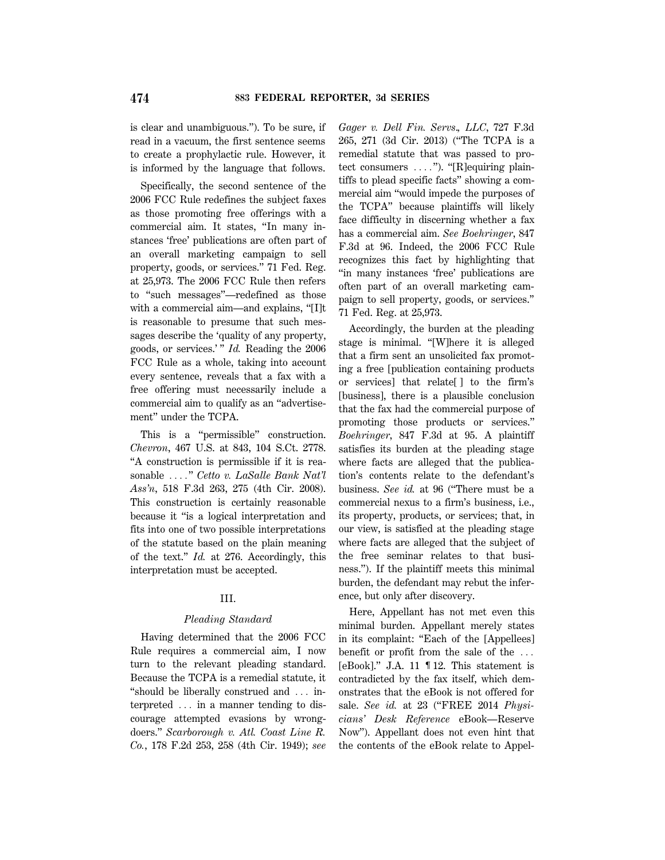is clear and unambiguous.''). To be sure, if read in a vacuum, the first sentence seems to create a prophylactic rule. However, it is informed by the language that follows.

Specifically, the second sentence of the 2006 FCC Rule redefines the subject faxes as those promoting free offerings with a commercial aim. It states, ''In many instances 'free' publications are often part of an overall marketing campaign to sell property, goods, or services.'' 71 Fed. Reg. at 25,973. The 2006 FCC Rule then refers to ''such messages''—redefined as those with a commercial aim—and explains, "[I]t is reasonable to presume that such messages describe the 'quality of any property, goods, or services.' '' *Id.* Reading the 2006 FCC Rule as a whole, taking into account every sentence, reveals that a fax with a free offering must necessarily include a commercial aim to qualify as an ''advertisement'' under the TCPA.

This is a ''permissible'' construction. *Chevron*, 467 U.S. at 843, 104 S.Ct. 2778. ''A construction is permissible if it is reasonable ...." *Cetto v. LaSalle Bank Nat'l Ass'n*, 518 F.3d 263, 275 (4th Cir. 2008). This construction is certainly reasonable because it ''is a logical interpretation and fits into one of two possible interpretations of the statute based on the plain meaning of the text.'' *Id.* at 276. Accordingly, this interpretation must be accepted.

### III.

#### *Pleading Standard*

Having determined that the 2006 FCC Rule requires a commercial aim, I now turn to the relevant pleading standard. Because the TCPA is a remedial statute, it "should be liberally construed and  $\ldots$  interpreted  $\ldots$  in a manner tending to discourage attempted evasions by wrongdoers.'' *Scarborough v. Atl. Coast Line R. Co.*, 178 F.2d 253, 258 (4th Cir. 1949); *see* *Gager v. Dell Fin. Servs*.*, LLC*, 727 F.3d 265, 271 (3d Cir. 2013) (''The TCPA is a remedial statute that was passed to protect consumers  $\ldots$ "). "[R]equiring plaintiffs to plead specific facts'' showing a commercial aim ''would impede the purposes of the TCPA'' because plaintiffs will likely face difficulty in discerning whether a fax has a commercial aim. *See Boehringer*, 847 F.3d at 96. Indeed, the 2006 FCC Rule recognizes this fact by highlighting that ''in many instances 'free' publications are often part of an overall marketing campaign to sell property, goods, or services.'' 71 Fed. Reg. at 25,973.

Accordingly, the burden at the pleading stage is minimal. "[W]here it is alleged that a firm sent an unsolicited fax promoting a free [publication containing products or services] that relate[ ] to the firm's [business], there is a plausible conclusion that the fax had the commercial purpose of promoting those products or services.'' *Boehringer*, 847 F.3d at 95. A plaintiff satisfies its burden at the pleading stage where facts are alleged that the publication's contents relate to the defendant's business. *See id.* at 96 (''There must be a commercial nexus to a firm's business, i.e., its property, products, or services; that, in our view, is satisfied at the pleading stage where facts are alleged that the subject of the free seminar relates to that business.''). If the plaintiff meets this minimal burden, the defendant may rebut the inference, but only after discovery.

Here, Appellant has not met even this minimal burden. Appellant merely states in its complaint: ''Each of the [Appellees] benefit or profit from the sale of the  $\ldots$ [eBook].'' J.A. 11 ¶ 12. This statement is contradicted by the fax itself, which demonstrates that the eBook is not offered for sale. *See id.* at 23 (''FREE 2014 *Physicians' Desk Reference* eBook—Reserve Now''). Appellant does not even hint that the contents of the eBook relate to Appel